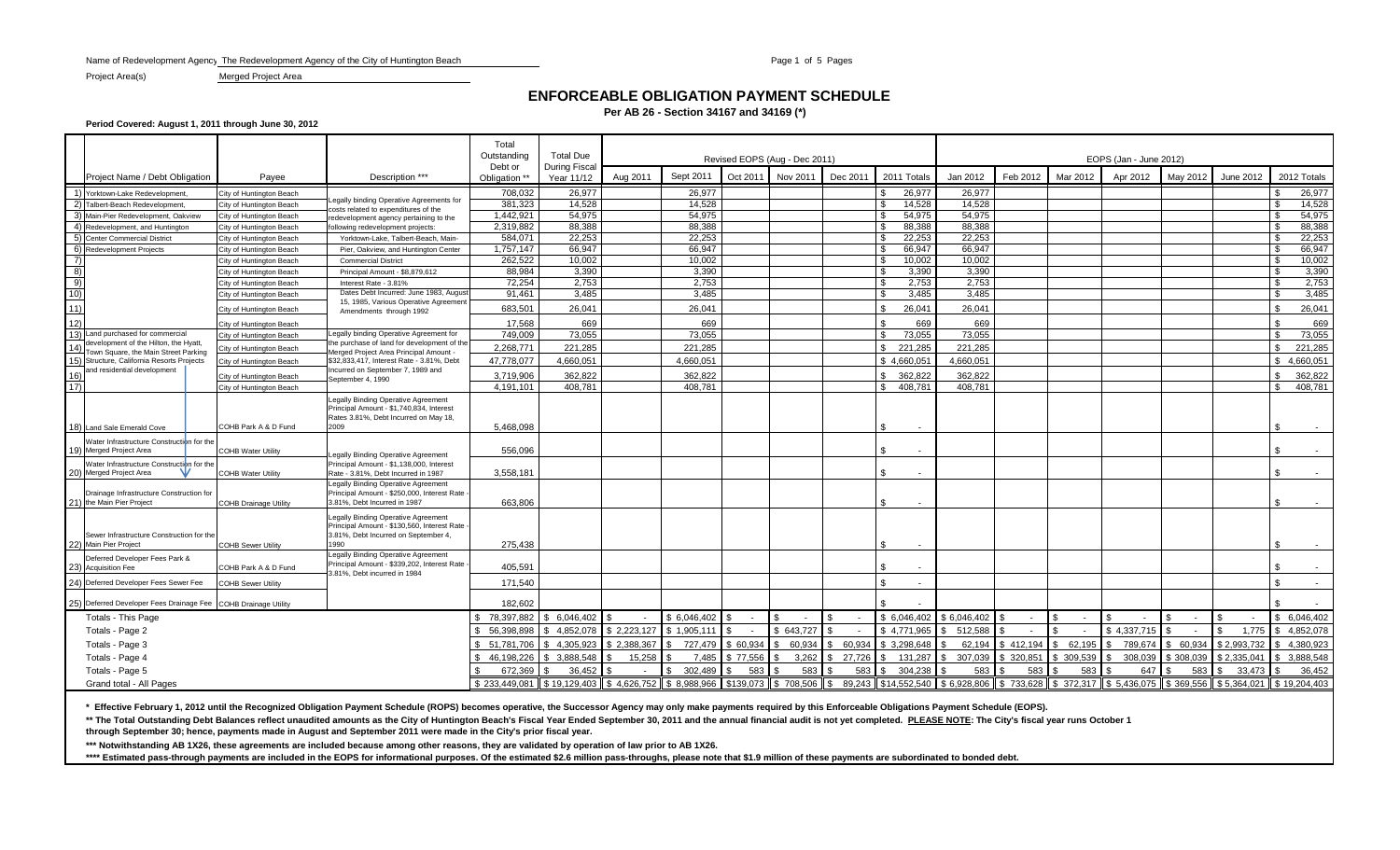Name of Redevelopment Agency: The Redevelopment Agency of the City of Huntington Beach Page 1 of 5 Pages 1 of 5 Pages

### **ENFORCEABLE OBLIGATION PAYMENT SCHEDULE**

**Per AB 26 - Section 34167 and 34169 (\*)**

**Period Covered: August 1, 2011 through June 30, 2012**

|                 |                                                                                    |                              | Total<br>Outstanding                                                                                                         | <b>Total Due</b>                                |                             |             | Revised EOPS (Aug - Dec 2011) |          |                                   | EOPS (Jan - June 2012) |                                                 |             |            |          |                                                 |                   |             |                |  |
|-----------------|------------------------------------------------------------------------------------|------------------------------|------------------------------------------------------------------------------------------------------------------------------|-------------------------------------------------|-----------------------------|-------------|-------------------------------|----------|-----------------------------------|------------------------|-------------------------------------------------|-------------|------------|----------|-------------------------------------------------|-------------------|-------------|----------------|--|
|                 | Project Name / Debt Obligation                                                     | Payee                        | Description ***                                                                                                              | Debt or<br>Obligation **                        | During Fiscal<br>Year 11/12 | Aug 2011    | Sept 2011                     | Oct 2011 | Nov 2011                          | Dec 2011               | 2011 Totals                                     | Jan 2012    | Feb 2012   | Mar 2012 | Apr 2012                                        | May 2012          | June 2012   | 2012 Totals    |  |
|                 | 1) Yorktown-Lake Redevelopment                                                     | City of Huntington Beach     |                                                                                                                              | 708,032                                         | 26.977                      |             | 26.977                        |          |                                   |                        | 26,977                                          | 26.977      |            |          |                                                 |                   |             | 26,977         |  |
|                 | 2) Talbert-Beach Redevelopment,                                                    | City of Huntington Beach     | egally binding Operative Agreements for                                                                                      | 381,323                                         | 14,528                      |             | 14,528                        |          |                                   |                        | 14,528                                          | 14,528      |            |          |                                                 |                   |             | 14,528<br>- \$ |  |
|                 | 3) Main-Pier Redevelopment, Oakview                                                | City of Huntington Beach     | osts related to expenditures of the<br>redevelopment agency pertaining to the                                                | 1,442,921                                       | 54,975                      |             | 54,975                        |          |                                   |                        | 54.975                                          | 54.975      |            |          |                                                 |                   |             | 54,975         |  |
|                 | 4) Redevelopment, and Huntington                                                   | City of Huntington Beach     | following redevelopment projects:                                                                                            | 2,319,882                                       | 88.388                      |             | 88.388                        |          |                                   |                        | 88.388                                          | 88.388      |            |          |                                                 |                   |             | 88,388<br>. S  |  |
|                 | 5) Center Commercial District                                                      | City of Huntington Beach     | Yorktown-Lake, Talbert-Beach, Main-                                                                                          | 584.071                                         | 22.253                      |             | 22.253                        |          |                                   |                        | 22.253                                          | 22.253      |            |          |                                                 |                   |             | 22.253         |  |
|                 | 6) Redevelopment Projects                                                          | City of Huntington Beach     | Pier, Oakview, and Huntington Center                                                                                         | 1,757,147                                       | 66,947                      |             | 66,947                        |          |                                   |                        | 66.947                                          | 66.947      |            |          |                                                 |                   |             | 66,947         |  |
| 7)              |                                                                                    | City of Huntington Beach     | <b>Commercial District</b>                                                                                                   | 262.522                                         | 10.002                      |             | 10.002                        |          |                                   |                        | 10.002                                          | 10.002      |            |          |                                                 |                   |             | 10.002<br>. ጽ  |  |
| $\frac{8}{9}$   |                                                                                    | City of Huntington Beach     | Principal Amount - \$8,879,612                                                                                               | 88.984                                          | 3.390                       |             | 3.390                         |          |                                   |                        | 3.390                                           | 3.390       |            |          |                                                 |                   |             | 3,390          |  |
|                 |                                                                                    | City of Huntington Beach     | Interest Rate - 3.81%                                                                                                        | 72,254                                          | 2,753                       |             | 2,753                         |          |                                   |                        | 2,753                                           | 2,753       |            |          |                                                 |                   |             | 2,753<br>- \$  |  |
| $\frac{10}{11}$ |                                                                                    | City of Huntington Beach     | Dates Debt Incurred: June 1983, August<br>15, 1985, Various Operative Agreement                                              | 91,461                                          | 3,485                       |             | 3,485                         |          |                                   |                        | 3,485                                           | 3,485       |            |          |                                                 |                   |             | 3,485          |  |
|                 |                                                                                    | City of Huntington Beach     | Amendments through 1992                                                                                                      | 683,501                                         | 26,041                      |             | 26.041                        |          |                                   |                        | 26.041                                          | 26.041      |            |          |                                                 |                   |             | 26.041         |  |
| $\frac{1}{12}$  |                                                                                    | City of Huntington Beach     |                                                                                                                              | 17,568                                          | 669                         |             | 669                           |          |                                   |                        | 669                                             | 669         |            |          |                                                 |                   |             | 669            |  |
|                 | 13) Land purchased for commercial                                                  | City of Huntington Beach     | Legally binding Operative Agreement for                                                                                      | 749,009                                         | 73,055                      |             | 73,055                        |          |                                   |                        | 73,055                                          | 73,055      |            |          |                                                 |                   |             | 73,055<br>. ድ  |  |
|                 | development of the Hilton, the Hyatt                                               | City of Huntington Beach     | the purchase of land for development of the                                                                                  | 2,268,771                                       | 221,285                     |             | 221,285                       |          |                                   |                        | 221,285                                         | 221,285     |            |          |                                                 |                   |             | 221,285        |  |
|                 | Town Square, the Main Street Parking<br>15) Structure, California Resorts Projects | City of Huntington Beach     | Merged Project Area Principal Amount -<br>\$32,833,417, Interest Rate - 3.81%, Debt                                          | 47.778.077                                      | 4,660,051                   |             | 4.660.051                     |          |                                   |                        | \$4.660.051                                     | 4.660.051   |            |          |                                                 |                   |             | 4.660.051      |  |
| 16)             | and residential development                                                        | City of Huntington Beach     | Incurred on September 7, 1989 and                                                                                            | 3,719,906                                       | 362,822                     |             | 362,822                       |          |                                   |                        | 362,822                                         | 362,822     |            |          |                                                 |                   |             | 362,822        |  |
| $\overline{17}$ |                                                                                    | City of Huntington Beach     | September 4, 1990                                                                                                            | 4,191,101                                       | 408.781                     |             | 408.781                       |          |                                   |                        | 408,781                                         | 408,781     |            |          |                                                 |                   |             | 408.781<br>\$. |  |
|                 |                                                                                    |                              | Legally Binding Operative Agreement                                                                                          |                                                 |                             |             |                               |          |                                   |                        |                                                 |             |            |          |                                                 |                   |             |                |  |
|                 |                                                                                    |                              | Principal Amount - \$1,740,834, Interest<br>Rates 3.81%, Debt Incurred on May 18,                                            |                                                 |                             |             |                               |          |                                   |                        |                                                 |             |            |          |                                                 |                   |             |                |  |
|                 | 18) Land Sale Emerald Cove                                                         | COHB Park A & D Fund         | 2009                                                                                                                         | 5,468,098                                       |                             |             |                               |          |                                   |                        |                                                 |             |            |          |                                                 |                   |             |                |  |
|                 | Water Infrastructure Construction for the                                          |                              |                                                                                                                              |                                                 |                             |             |                               |          |                                   |                        |                                                 |             |            |          |                                                 |                   |             |                |  |
|                 | 9) Merged Project Area                                                             | <b>COHB Water Utility</b>    | egally Binding Operative Agreement                                                                                           | 556.096                                         |                             |             |                               |          |                                   |                        | $\blacksquare$                                  |             |            |          |                                                 |                   |             |                |  |
|                 | Water Infrastructure Construction for the                                          |                              | Principal Amount - \$1,138,000, Interest                                                                                     |                                                 |                             |             |                               |          |                                   |                        |                                                 |             |            |          |                                                 |                   |             |                |  |
|                 | 20) Merged Project Area                                                            | <b>COHB Water Utility</b>    | Rate - 3.81%. Debt Incurred in 1987                                                                                          | 3.558.181                                       |                             |             |                               |          |                                   |                        |                                                 |             |            |          |                                                 |                   |             |                |  |
|                 | Drainage Infrastructure Construction for                                           |                              | Legally Binding Operative Agreement<br>Principal Amount - \$250,000, Interest Rate                                           |                                                 |                             |             |                               |          |                                   |                        |                                                 |             |            |          |                                                 |                   |             |                |  |
|                 | 21) the Main Pier Project                                                          | <b>COHB Drainage Utility</b> | 3.81%, Debt Incurred in 1987                                                                                                 | 663,806                                         |                             |             |                               |          |                                   |                        |                                                 |             |            |          |                                                 |                   |             | - \$           |  |
|                 | Sewer Infrastructure Construction for the                                          |                              | Legally Binding Operative Agreement<br>Principal Amount - \$130,560, Interest Rate -<br>3.81%, Debt Incurred on September 4, |                                                 |                             |             |                               |          |                                   |                        |                                                 |             |            |          |                                                 |                   |             |                |  |
|                 | 22) Main Pier Project                                                              | <b>COHB Sewer Utility</b>    | 1990                                                                                                                         | 275,438                                         |                             |             |                               |          |                                   |                        | \$.                                             |             |            |          |                                                 |                   |             | - \$           |  |
|                 | Deferred Developer Fees Park &                                                     |                              | Legally Binding Operative Agreement                                                                                          |                                                 |                             |             |                               |          |                                   |                        |                                                 |             |            |          |                                                 |                   |             |                |  |
|                 | 23) Acquisition Fee                                                                | COHB Park A & D Fund         | Principal Amount - \$339,202, Interest Rate<br>3.81%. Debt incurred in 1984                                                  | 405,591                                         |                             |             |                               |          |                                   |                        |                                                 |             |            |          |                                                 |                   |             |                |  |
|                 | 24) Deferred Developer Fees Sewer Fee                                              | <b>COHB Sewer Utility</b>    |                                                                                                                              | 171,540                                         |                             |             |                               |          |                                   |                        | $\sim$                                          |             |            |          |                                                 |                   |             | $\sim$         |  |
|                 | 25) Deferred Developer Fees Drainage Fee COHB Drainage Utility                     |                              |                                                                                                                              | 182,602                                         |                             |             |                               |          |                                   |                        |                                                 |             |            |          |                                                 |                   |             | . ጽ            |  |
|                 | <b>Totals - This Page</b>                                                          |                              |                                                                                                                              | 78,397,882                                      | 6.046.402                   |             | \$6.046.402                   | $\sim$   | $\overline{\phantom{a}}$          |                        | \$6,046,402                                     | \$6.046.402 |            |          |                                                 | $\sim$            |             | 6,046,402      |  |
|                 |                                                                                    |                              |                                                                                                                              | 56.398.898                                      | 4.852.078                   | \$2.223.127 | \$1.905.111                   |          | \$ 643.727                        |                        | \$4.771.965                                     | 512.588     |            |          | \$4.337.715                                     |                   | 1.775       | \$4.852.078    |  |
|                 | Totals - Page 2<br>Totals - Page 3                                                 |                              |                                                                                                                              | 51,781,706                                      | 4,305,923                   | \$2,388,367 | 727.479                       | \$60,934 | 60,934                            | 60,934                 | \$3,298,648                                     | 62,194      | \$412,194  | \$62,195 |                                                 | 789,674 \$ 60,934 | \$2,993,732 | \$4,380,923    |  |
|                 | Totals - Page 4                                                                    |                              |                                                                                                                              | 46,198,226                                      | 3.888.548<br>. ጽ            | 15,258      | 7,485                         | \$77,556 | 3,262                             | 27,726                 | 131,287                                         | 307,039     | \$ 320,851 | 309,539  | 308.039                                         | \$308,039         | \$2.335.04' | 3,888,548      |  |
|                 | Totals - Page 5                                                                    |                              |                                                                                                                              | 672.369                                         | 36.452                      |             | 302.489                       | 583      | 583                               | 583                    | 304.238                                         | 583         | 583        | 583      | 647                                             | 583               | 33.473      | 36.452         |  |
|                 |                                                                                    |                              |                                                                                                                              |                                                 |                             |             |                               |          |                                   |                        |                                                 |             |            |          |                                                 |                   |             |                |  |
|                 | Grand total - All Pages                                                            |                              |                                                                                                                              | \$233.449.081 II \$19.129.403 II \$4.626.752 II |                             |             | \$ 8.988.966                  |          | $$139.073$ $\parallel$ \$ 708.506 | $\mathcal{S}$          | 89.243   \$14.552.540   \$6.928.806   \$733.628 |             |            |          | $$372.317$ $$5.436.075$ $$369.556$ $$5.364.021$ |                   |             | \$19,204,403   |  |

**\* Effective February 1, 2012 until the Recognized Obligation Payment Schedule (ROPS) becomes operative, the Successor Agency may only make payments required by this Enforceable Obligations Payment Schedule (EOPS).**

\*\* The Total Outstanding Debt Balances reflect unaudited amounts as the City of Huntington Beach's Fiscal Year Ended September 30, 2011 and the annual financial audit is not yet completed. PLEASE NOTE: The City's fiscal ye **through September 30; hence, payments made in August and September 2011 were made in the City's prior fiscal year.**

**\*\*\* Notwithstanding AB 1X26, these agreements are included because among other reasons, they are validated by operation of law prior to AB 1X26.**

\*\*\*\* Estimated pass-through payments are included in the EOPS for informational purposes. Of the estimated \$2.6 million pass-throughs, please note that \$1.9 million of these payments are subordinated to bonded debt.

Project Area(s) Merged Project Area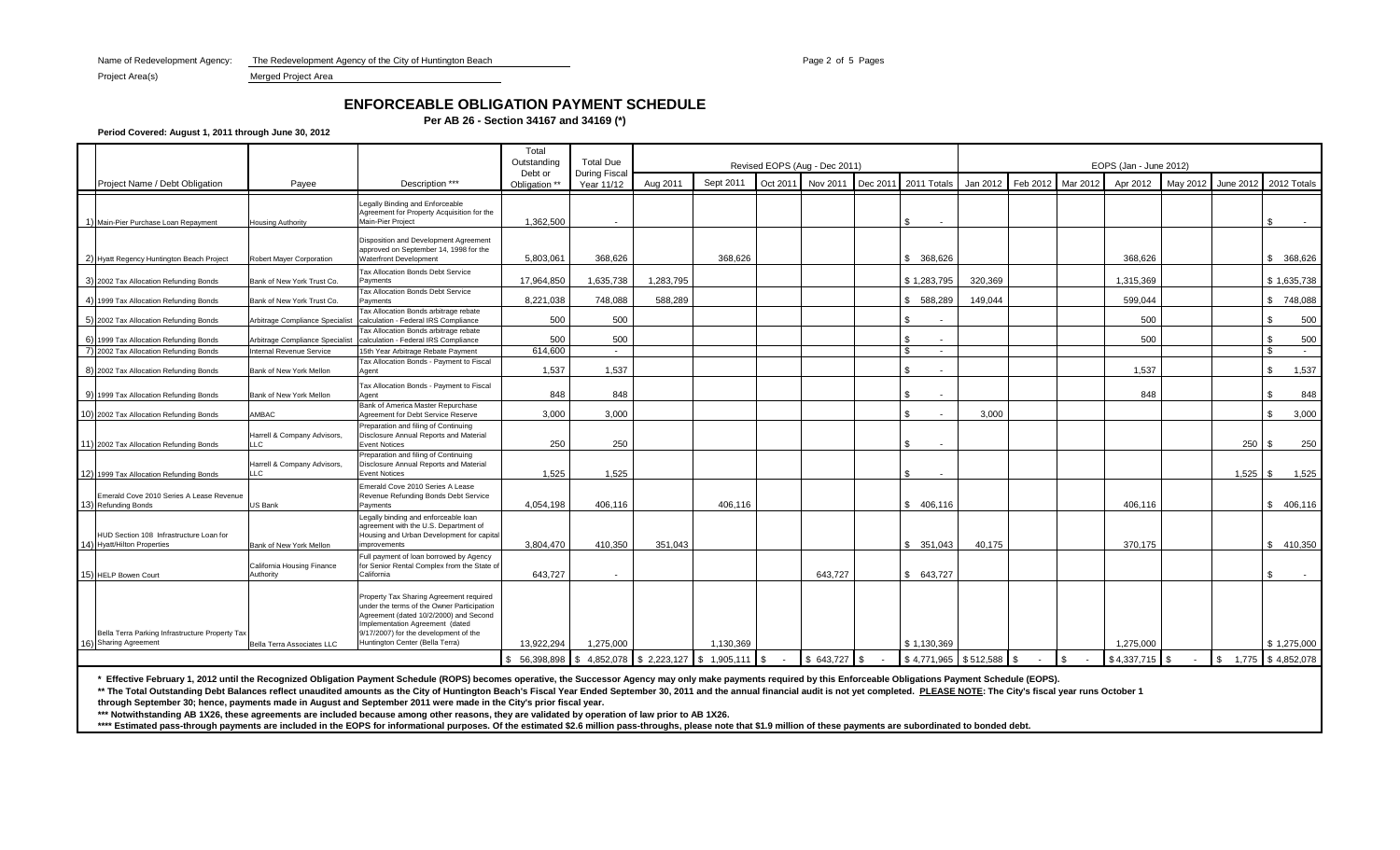Name of Redevelopment Agency: The Redevelopment Agency of the City of Huntington Beach Page 2 of 5 Pages 2 of 5 Pages

Project Area(s) Merged Project Area

# **ENFORCEABLE OBLIGATION PAYMENT SCHEDULE**

**Per AB 26 - Section 34167 and 34169 (\*)**

**Period Covered: August 1, 2011 through June 30, 2012**

|                                                                          |                                         |                                                                                                                                                                                                                                                | Total<br>Outstanding                                     | <b>Total Due</b>           |           |           |          | Revised EOPS (Aug - Dec 2011) |          |                                | EOPS (Jan - June 2012) |                      |                          |                 |          |                  |                         |  |  |
|--------------------------------------------------------------------------|-----------------------------------------|------------------------------------------------------------------------------------------------------------------------------------------------------------------------------------------------------------------------------------------------|----------------------------------------------------------|----------------------------|-----------|-----------|----------|-------------------------------|----------|--------------------------------|------------------------|----------------------|--------------------------|-----------------|----------|------------------|-------------------------|--|--|
| Project Name / Debt Obligation                                           | Pavee                                   | Description ***                                                                                                                                                                                                                                | Debt or<br>Obligation **                                 | During Fisca<br>Year 11/12 | Aug 2011  | Sept 2011 | Oct 2011 | Nov 2011                      | Dec 2011 | 2011 Totals                    | Jan 2012               | Feb 2012             | Mar 2012                 | Apr 2012        | May 2012 | June 2012        | 2012 Totals             |  |  |
| 1) Main-Pier Purchase Loan Repayment                                     | <b>Housing Authority</b>                | Legally Binding and Enforceable<br>Agreement for Property Acquisition for the<br>Main-Pier Project                                                                                                                                             | 1.362.500                                                | $\overline{\phantom{a}}$   |           |           |          |                               |          | \$.<br>$\sim$                  |                        |                      |                          |                 |          |                  | £.<br>$\sim$            |  |  |
| 2) Hyatt Regency Huntington Beach Project                                | Robert Mayer Corporation                | Disposition and Development Agreement<br>approved on September 14, 1998 for the<br><b>Waterfront Development</b>                                                                                                                               | 5,803,061                                                | 368.626                    |           | 368.626   |          |                               |          | \$ 368,626                     |                        |                      |                          | 368.626         |          |                  | \$ 368,626              |  |  |
| 3) 2002 Tax Allocation Refunding Bonds                                   | Bank of New York Trust Co.              | Tax Allocation Bonds Debt Service<br>Payments<br>Tax Allocation Bonds Debt Service                                                                                                                                                             | 17.964.850                                               | 1.635.738                  | 1.283.795 |           |          |                               |          | \$1,283,795                    | 320.369                |                      |                          | 1.315.369       |          |                  | \$1,635,738             |  |  |
| 4) 1999 Tax Allocation Refunding Bonds                                   | Bank of New York Trust Co.              | Payments                                                                                                                                                                                                                                       | 8,221,038                                                | 748,088                    | 588,289   |           |          |                               |          | \$ 588,289                     | 149,044                |                      |                          | 599,044         |          |                  | \$748,088               |  |  |
| 5) 2002 Tax Allocation Refunding Bonds                                   | Arbitrage Compliance Specialist         | Tax Allocation Bonds arbitrage rebate<br>calculation - Federal IRS Compliance                                                                                                                                                                  | 500                                                      | 500                        |           |           |          |                               |          | \$.                            |                        |                      |                          | 500             |          |                  | 500<br>\$.              |  |  |
| 6) 1999 Tax Allocation Refunding Bonds                                   | Arbitrage Compliance Specialis          | Tax Allocation Bonds arbitrage rebate<br>calculation - Federal IRS Compliance                                                                                                                                                                  | 500                                                      | 500                        |           |           |          |                               |          | -\$<br>$\sim$                  |                        |                      |                          | 500             |          |                  | 500<br>\$               |  |  |
| 7) 2002 Tax Allocation Refunding Bonds                                   | <b>Internal Revenue Service</b>         | 15th Year Arbitrage Rebate Payment                                                                                                                                                                                                             | 614,600                                                  | $\sim$                     |           |           |          |                               |          | - \$<br>$\sim$ $-$             |                        |                      |                          |                 |          |                  | \$.<br>$\sim$ $-$       |  |  |
| 8) 2002 Tax Allocation Refunding Bonds                                   | Bank of New York Mellon                 | Tax Allocation Bonds - Payment to Fiscal<br>Agent                                                                                                                                                                                              | 1,537                                                    | 1,537                      |           |           |          |                               |          | \$<br>$\overline{\phantom{a}}$ |                        |                      |                          | 1.537           |          |                  | 1,537<br>\$             |  |  |
| 9) 1999 Tax Allocation Refunding Bonds                                   | Bank of New York Mellon                 | Tax Allocation Bonds - Payment to Fiscal<br>Agent                                                                                                                                                                                              | 848                                                      | 848                        |           |           |          |                               |          | \$                             |                        |                      |                          | 848             |          |                  | 848<br>\$.              |  |  |
| 10) 2002 Tax Allocation Refunding Bonds                                  | AMBAC                                   | Bank of America Master Repurchase<br>Agreement for Debt Service Reserve                                                                                                                                                                        | 3,000                                                    | 3,000                      |           |           |          |                               |          | \$.                            | 3,000                  |                      |                          |                 |          |                  | 3,000<br>\$             |  |  |
| 11) 2002 Tax Allocation Refunding Bonds                                  | Harrell & Company Advisors,<br>LLC      | Preparation and filing of Continuing<br>Disclosure Annual Reports and Material<br><b>Event Notices</b>                                                                                                                                         | 250                                                      | 250                        |           |           |          |                               |          | \$<br>$\sim$                   |                        |                      |                          |                 |          | 250 <sup>8</sup> | 250                     |  |  |
| 12) 1999 Tax Allocation Refunding Bonds                                  | Harrell & Company Advisors,<br>LLC      | Preparation and filing of Continuing<br>Disclosure Annual Reports and Material<br><b>Event Notices</b>                                                                                                                                         | 1,525                                                    | 1,525                      |           |           |          |                               |          | \$<br>$\sim$                   |                        |                      |                          |                 |          | $1,525$ \$       | 1,525                   |  |  |
| Emerald Cove 2010 Series A Lease Revenue<br>13) Refunding Bonds          | US Bank                                 | Emerald Cove 2010 Series A Lease<br>Revenue Refunding Bonds Debt Service<br>Payments                                                                                                                                                           | 4,054,198                                                | 406,116                    |           | 406,116   |          |                               |          | 406,116<br>\$                  |                        |                      |                          | 406,116         |          |                  | \$406,116               |  |  |
| HUD Section 108 Infrastructure Loan for<br>14) Hyatt/Hilton Properties   | Bank of New York Mellon                 | Legally binding and enforceable loan<br>agreement with the U.S. Department of<br>Housing and Urban Development for capital<br>improvements                                                                                                     | 3.804.470                                                | 410.350                    | 351.043   |           |          |                               |          | \$351.043                      | 40,175                 |                      |                          | 370.175         |          |                  | \$410,350               |  |  |
| 15) HELP Bowen Court                                                     | California Housing Finance<br>Authority | Full payment of loan borrowed by Agency<br>for Senior Rental Complex from the State of<br>California                                                                                                                                           | 643,727                                                  | $\sim$                     |           |           |          | 643,727                       |          | 643,727<br>$^{\circ}$          |                        |                      |                          |                 |          |                  | \$                      |  |  |
| Bella Terra Parking Infrastructure Property Tax<br>16) Sharing Agreement | Bella Terra Associates LLC              | Property Tax Sharing Agreement required<br>under the terms of the Owner Participation<br>Agreement (dated 10/2/2000) and Second<br>Implementation Agreement (dated<br>9/17/2007) for the development of the<br>Huntington Center (Bella Terra) | 13.922.294                                               | 1,275,000                  |           | 1.130.369 |          |                               |          | \$1.130.369                    |                        |                      |                          | 1.275.000       |          |                  | \$1,275,000             |  |  |
|                                                                          |                                         |                                                                                                                                                                                                                                                | $$56,398,898$ $$4,852,078$ $$2,223,127$ $$1,905,111$ $$$ |                            |           |           |          | $$643,727$ \\$                |          | \$4,771,965 \$512,588          |                        | $\sqrt{3}$<br>$\sim$ | $\mathfrak{S}$<br>$\sim$ | $$4,337,715$ \$ | $\sim$   |                  | $$ 1,775$ $$ 4,852,078$ |  |  |

**\* Effective February 1, 2012 until the Recognized Obligation Payment Schedule (ROPS) becomes operative, the Successor Agency may only make payments required by this Enforceable Obligations Payment Schedule (EOPS).**

\*\* The Total Outstanding Debt Balances reflect unaudited amounts as the City of Huntington Beach's Fiscal Year Ended September 30, 2011 and the annual financial audit is not yet completed. PLEASE NOTE: The City's fiscal ye

**through September 30; hence, payments made in August and September 2011 were made in the City's prior fiscal year.**

**\*\*\* Notwithstanding AB 1X26, these agreements are included because among other reasons, they are validated by operation of law prior to AB 1X26.**

\*\*\*\* Estimated pass-through payments are included in the EOPS for informational purposes. Of the estimated \$2.6 million pass-throughs, please note that \$1.9 million of these payments are subordinated to bonded debt.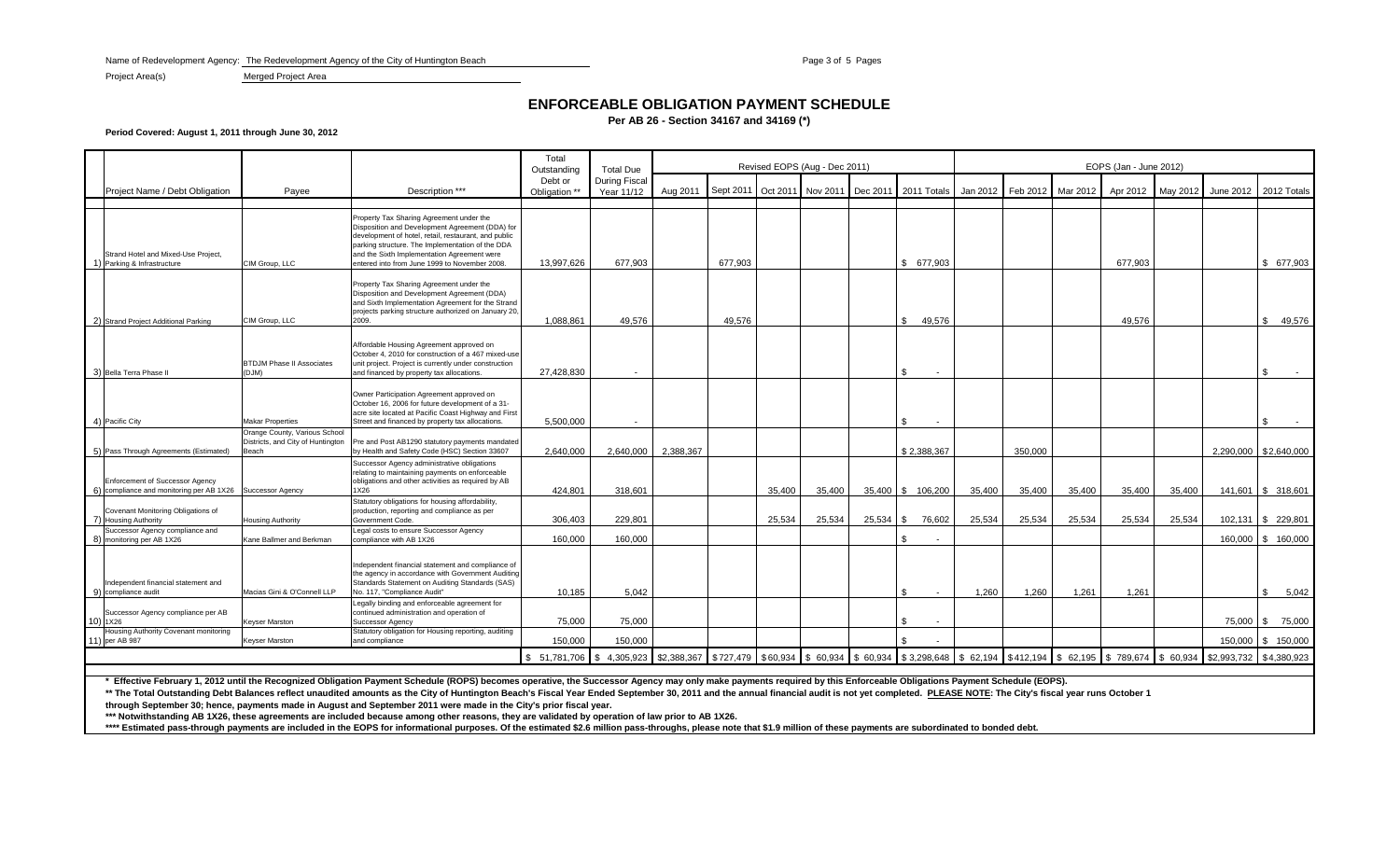Name of Redevelopment Agency: The Redevelopment Agency of the City of Huntington Beach Page 3 of 5 Page 3 of 5 Pages

Project Area(s) Merged Project Area

### **ENFORCEABLE OBLIGATION PAYMENT SCHEDULE**

**Per AB 26 - Section 34167 and 34169 (\*)**

### **Period Covered: August 1, 2011 through June 30, 2012**

|                                                                                              |                                                                             |                                                                                                                                                                                                                                                                                                         | Total<br>Outstanding     | <b>Total Due</b>                   |                       |         |        | Revised EOPS (Aug - Dec 2011) |          |                                                           | EOPS (Jan - June 2012) |                   |          |                    |        |                                         |                       |  |  |
|----------------------------------------------------------------------------------------------|-----------------------------------------------------------------------------|---------------------------------------------------------------------------------------------------------------------------------------------------------------------------------------------------------------------------------------------------------------------------------------------------------|--------------------------|------------------------------------|-----------------------|---------|--------|-------------------------------|----------|-----------------------------------------------------------|------------------------|-------------------|----------|--------------------|--------|-----------------------------------------|-----------------------|--|--|
| Project Name / Debt Obligation                                                               | Payee                                                                       | Description ***                                                                                                                                                                                                                                                                                         | Debt or<br>Obligation ** | <b>During Fiscal</b><br>Year 11/12 | Aug 2011              |         |        |                               |          | Sept 2011 Oct 2011 Nov 2011 Dec 2011 2011 Totals Jan 2012 |                        | Feb 2012 Mar 2012 |          |                    |        | Apr 2012 May 2012 June 2012 2012 Totals |                       |  |  |
|                                                                                              |                                                                             |                                                                                                                                                                                                                                                                                                         |                          |                                    |                       |         |        |                               |          |                                                           |                        |                   |          |                    |        |                                         |                       |  |  |
| Strand Hotel and Mixed-Use Project,<br>1) Parking & Infrastructure                           | CIM Group, LLC                                                              | Property Tax Sharing Agreement under the<br>Disposition and Development Agreement (DDA) for<br>development of hotel, retail, restaurant, and public<br>parking structure. The Implementation of the DDA<br>and the Sixth Implementation Agreement were<br>entered into from June 1999 to November 2008. | 13,997,626               | 677,903                            |                       | 677,903 |        |                               |          | \$ 677,903                                                |                        |                   |          | 677,903            |        |                                         | \$ 677,903            |  |  |
| 2) Strand Project Additional Parking                                                         | CIM Group, LLC                                                              | Property Tax Sharing Agreement under the<br>Disposition and Development Agreement (DDA)<br>and Sixth Implementation Agreement for the Strand<br>projects parking structure authorized on January 20,<br>2009.                                                                                           | 1.088.861                | 49.576                             |                       | 49.576  |        |                               |          | 49,576<br>\$                                              |                        |                   |          | 49.576             |        |                                         | \$49,576              |  |  |
|                                                                                              |                                                                             |                                                                                                                                                                                                                                                                                                         |                          |                                    |                       |         |        |                               |          |                                                           |                        |                   |          |                    |        |                                         |                       |  |  |
| 3) Bella Terra Phase II                                                                      | <b>BTDJM Phase II Associates</b><br>(DJM)                                   | Affordable Housing Agreement approved on<br>October 4, 2010 for construction of a 467 mixed-use<br>unit project. Project is currently under construction<br>and financed by property tax allocations.                                                                                                   | 27,428,830               |                                    |                       |         |        |                               |          | $\sim$                                                    |                        |                   |          |                    |        |                                         |                       |  |  |
| 4) Pacific City                                                                              | <b>Makar Properties</b>                                                     | Owner Participation Agreement approved on<br>October 16, 2006 for future development of a 31-<br>acre site located at Pacific Coast Highway and First<br>Street and financed by property tax allocations.                                                                                               | 5,500,000                | $\overline{\phantom{a}}$           |                       |         |        |                               |          | \$<br>$\overline{\phantom{a}}$                            |                        |                   |          |                    |        |                                         | \$                    |  |  |
| 5) Pass Through Agreements (Estimated)                                                       | Orange County, Various School<br>Districts, and City of Huntington<br>Beach | Pre and Post AB1290 statutory payments mandated<br>by Health and Safety Code (HSC) Section 33607                                                                                                                                                                                                        | 2,640,000                | 2,640,000                          | 2,388,367             |         |        |                               |          | \$2,388,367                                               |                        | 350,000           |          |                    |        |                                         | 2,290,000 \$2,640,000 |  |  |
| Enforcement of Successor Agency<br>6) compliance and monitoring per AB 1X26 Successor Agency |                                                                             | Successor Agency administrative obligations<br>relating to maintaining payments on enforceable<br>obligations and other activities as required by AB<br>1X26                                                                                                                                            | 424.801                  | 318.601                            |                       |         | 35.400 | 35,400                        |          | 35,400 \$ 106,200                                         | 35.400                 | 35.400            | 35,400   | 35,400             | 35,400 |                                         | 141,601 \$ 318,601    |  |  |
|                                                                                              |                                                                             | Statutory obligations for housing affordability,                                                                                                                                                                                                                                                        |                          |                                    |                       |         |        |                               |          |                                                           |                        |                   |          |                    |        |                                         |                       |  |  |
| Covenant Monitoring Obligations of<br>7) Housing Authority                                   | <b>Housing Authority</b>                                                    | production, reporting and compliance as per<br>Government Code.                                                                                                                                                                                                                                         | 306,403                  | 229.801                            |                       |         | 25,534 | 25,534                        | 25,534   | 76,602<br><b>\$</b>                                       | 25,534                 | 25,534            | 25,534   | 25,534             | 25,534 |                                         | 102,131 \$ 229,801    |  |  |
| Successor Agency compliance and                                                              |                                                                             | Legal costs to ensure Successor Agency                                                                                                                                                                                                                                                                  |                          |                                    |                       |         |        |                               |          |                                                           |                        |                   |          |                    |        |                                         |                       |  |  |
| 8) monitoring per AB 1X26                                                                    | Kane Ballmer and Berkman                                                    | compliance with AB 1X26                                                                                                                                                                                                                                                                                 | 160,000                  | 160,000                            |                       |         |        |                               |          | \$.<br>$\overline{\phantom{a}}$                           |                        |                   |          |                    |        |                                         | 160,000 \$ 160,000    |  |  |
| Independent financial statement and<br>9) compliance audit                                   | Macias Gini & O'Connell LLP                                                 | Independent financial statement and compliance of<br>the agency in accordance with Government Auditing<br>Standards Statement on Auditing Standards (SAS)<br>No. 117. "Compliance Audit"                                                                                                                | 10,185                   | 5.042                              |                       |         |        |                               |          | \$.<br>$\sim$                                             | 1.260                  | 1,260             | 1,261    | 1.261              |        |                                         | \$<br>5,042           |  |  |
| Successor Agency compliance per AB<br>10) 1X26                                               | Keyser Marston                                                              | Legally binding and enforceable agreement for<br>continued administration and operation of<br>Successor Agency                                                                                                                                                                                          | 75,000                   | 75.000                             |                       |         |        |                               |          | \$.<br>$\sim$                                             |                        |                   |          |                    |        |                                         | 75,000 \$ 75,000      |  |  |
| Housing Authority Covenant monitoring<br>11) per AB 987                                      | <b>Keyser Marston</b>                                                       | Statutory obligation for Housing reporting, auditing<br>and compliance                                                                                                                                                                                                                                  | 150,000                  | 150,000                            |                       |         |        |                               |          |                                                           |                        |                   |          |                    |        |                                         | 150,000 \$ 150,000    |  |  |
|                                                                                              |                                                                             |                                                                                                                                                                                                                                                                                                         | \$ 51,781,706            | \$4,305,923                        | \$2,388,367 \$727,479 |         |        | $$60,934$ \$60,934            | \$60,934 | \$3,298,648                                               | \$62,194               | \$412,194         | \$62,195 | \$789,674 \$60,934 |        | \$2,993,732 \$4,380,923                 |                       |  |  |

**\* Effective February 1, 2012 until the Recognized Obligation Payment Schedule (ROPS) becomes operative, the Successor Agency may only make payments required by this Enforceable Obligations Payment Schedule (EOPS).**

\*\* The Total Outstanding Debt Balances reflect unaudited amounts as the City of Huntington Beach's Fiscal Year Ended September 30, 2011 and the annual financial audit is not yet completed. PLEASE NOTE: The City's fiscal ye

**through September 30; hence, payments made in August and September 2011 were made in the City's prior fiscal year.**

**\*\*\* Notwithstanding AB 1X26, these agreements are included because among other reasons, they are validated by operation of law prior to AB 1X26.**

\*\*\*\* Estimated pass-through payments are included in the EOPS for informational purposes. Of the estimated \$2.6 million pass-throughs, please note that \$1.9 million of these payments are subordinated to bonded debt.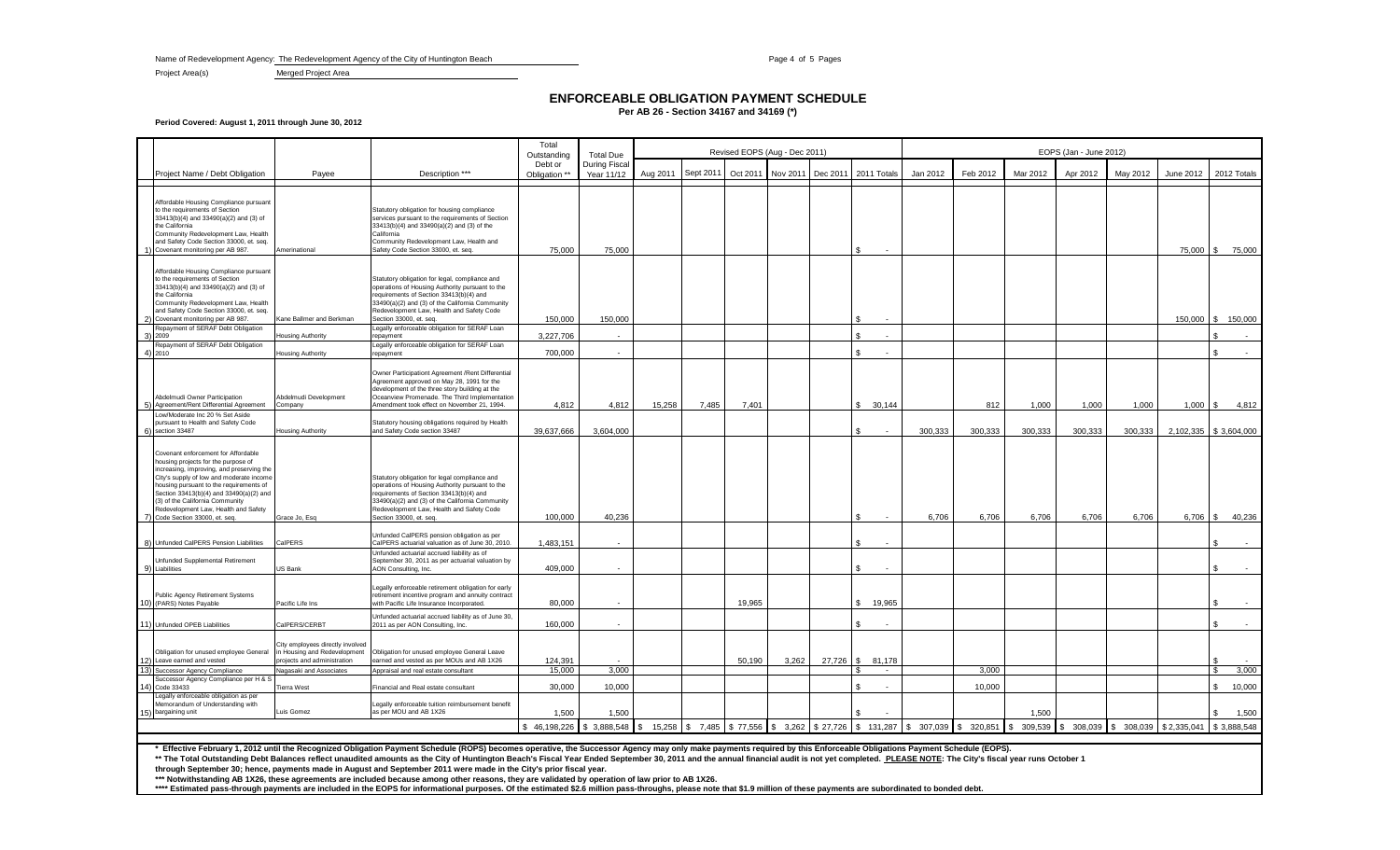Name of Redevelopment Agency: The Redevelopment Agency of the City of Huntington Beach Page 4 of 5 Page 4 of 5 Page 4 of 5 Pages

Project Area(s) Merged Project Area

## **ENFORCEABLE OBLIGATION PAYMENT SCHEDULE**

**Per AB 26 - Section 34167 and 34169 (\*)**

**Period Covered: August 1, 2011 through June 30, 2012**

|    |                                                                                                                                                                                                                                                                                                                                                                         |                                                                                                                            |                                                                                                                                                                                                                                                                         | Total<br>Outstanding     | <b>Total Due</b>                   | Revised EOPS (Aug - Dec 2011) |           |                                 |          |          |                        |            | EOPS (Jan - June 2012) |          |                               |          |             |                              |  |  |  |
|----|-------------------------------------------------------------------------------------------------------------------------------------------------------------------------------------------------------------------------------------------------------------------------------------------------------------------------------------------------------------------------|----------------------------------------------------------------------------------------------------------------------------|-------------------------------------------------------------------------------------------------------------------------------------------------------------------------------------------------------------------------------------------------------------------------|--------------------------|------------------------------------|-------------------------------|-----------|---------------------------------|----------|----------|------------------------|------------|------------------------|----------|-------------------------------|----------|-------------|------------------------------|--|--|--|
|    | Project Name / Debt Obligation                                                                                                                                                                                                                                                                                                                                          | Payee                                                                                                                      | Description ***                                                                                                                                                                                                                                                         | Debt or<br>Obligation ** | <b>During Fiscal</b><br>Year 11/12 | Aug 2011                      | Sept 2011 | Oct 2011                        | Nov 2011 | Dec 2011 | 2011 Totals            | Jan 2012   | Feb 2012               | Mar 2012 | Apr 2012                      | May 2012 | June 2012   | 2012 Totals                  |  |  |  |
|    |                                                                                                                                                                                                                                                                                                                                                                         |                                                                                                                            |                                                                                                                                                                                                                                                                         |                          |                                    |                               |           |                                 |          |          |                        |            |                        |          |                               |          |             |                              |  |  |  |
|    | Affordable Housing Compliance pursuant<br>to the requirements of Section<br>33413(b)(4) and 33490(a)(2) and (3) of<br>the California<br>Community Redevelopment Law, Health<br>and Safety Code Section 33000, et. seq.<br>1) Covenant monitoring per AB 987.                                                                                                            | Amerinational                                                                                                              | Statutory obligation for housing compliance<br>services pursuant to the requirements of Section<br>33413(b)(4) and 33490(a)(2) and (3) of the<br>California<br>Community Redevelopment Law, Health and<br>Safety Code Section 33000, et. seq.                           | 75,000                   | 75,000                             |                               |           |                                 |          |          |                        |            |                        |          |                               |          |             | 75,000 \$ 75,000             |  |  |  |
|    | Affordable Housing Compliance pursuant<br>to the requirements of Section<br>33413(b)(4) and 33490(a)(2) and (3) of<br>the California<br>Community Redevelopment Law, Health<br>and Safety Code Section 33000, et. seq.<br>Covenant monitoring per AB 987.                                                                                                               | Kane Ballmer and Berkman                                                                                                   | Statutory obligation for legal, compliance and<br>operations of Housing Authority pursuant to the<br>requirements of Section 33413(b)(4) and<br>33490(a)(2) and (3) of the California Community<br>Redevelopment Law, Health and Safety Code<br>Section 33000, et. seq. | 150,000                  | 150,000                            |                               |           |                                 |          |          |                        |            |                        |          |                               |          |             | 150,000 \$ 150,000           |  |  |  |
|    | Repayment of SERAF Debt Obligation                                                                                                                                                                                                                                                                                                                                      |                                                                                                                            | Legally enforceable obligation for SERAF Loan                                                                                                                                                                                                                           |                          |                                    |                               |           |                                 |          |          |                        |            |                        |          |                               |          |             |                              |  |  |  |
| 3) | 2009                                                                                                                                                                                                                                                                                                                                                                    | lousing Authority                                                                                                          | repayment                                                                                                                                                                                                                                                               | 3,227,706                |                                    |                               |           |                                 |          |          |                        |            |                        |          |                               |          |             |                              |  |  |  |
|    | Repayment of SERAF Debt Obligation<br>4) 2010                                                                                                                                                                                                                                                                                                                           | Housing Authority                                                                                                          | Legally enforceable obligation for SERAF Loan<br>repayment                                                                                                                                                                                                              | 700,000                  |                                    |                               |           |                                 |          |          |                        |            |                        |          |                               |          |             |                              |  |  |  |
|    | Abdelmudi Owner Participation<br>5) Agreement/Rent Differential Agreement                                                                                                                                                                                                                                                                                               | Abdelmudi Development<br>Company                                                                                           | Owner Participationt Agreement / Rent Differential<br>Agreement approved on May 28, 1991 for the<br>development of the three story building at the<br>Oceanview Promenade. The Third Implementation<br>Amendment took effect on November 21, 1994.                      | 4,812                    | 4,812                              | 15,258                        | 7,485     | 7,401                           |          |          | \$30,144               |            | 812                    | 1,000    | 1,000                         | 1,000    | $1,000$ \$  | 4,812                        |  |  |  |
|    | Low/Moderate Inc 20 % Set Aside<br>pursuant to Health and Safety Code<br>section 33487                                                                                                                                                                                                                                                                                  | Housing Authority                                                                                                          | Statutory housing obligations required by Health<br>and Safety Code section 33487                                                                                                                                                                                       | 39,637,666               | 3,604,000                          |                               |           |                                 |          |          |                        | 300.333    | 300,333                | 300,333  | 300,333                       | 300,333  |             | 2,102,335 \$3,604,000        |  |  |  |
|    | Covenant enforcement for Affordable<br>housing projects for the purpose of<br>increasing, improving, and preserving the<br>City's supply of low and moderate income<br>housing pursuant to the requirements of<br>Section 33413(b)(4) and 33490(a)(2) and<br>(3) of the California Community<br>Redevelopment Law, Health and Safety<br>7) Code Section 33000, et. seq. | Grace Jo, Esq                                                                                                              | Statutory obligation for legal compliance and<br>operations of Housing Authority pursuant to the<br>requirements of Section 33413(b)(4) and<br>33490(a)(2) and (3) of the California Community<br>Redevelopment Law, Health and Safety Code<br>Section 33000, et. seq.  | 100,000                  | 40,236                             |                               |           |                                 |          |          |                        | 6,706      | 6,706                  | 6,706    | 6,706                         | 6,706    | 6,706       | 40,236<br>-S                 |  |  |  |
|    |                                                                                                                                                                                                                                                                                                                                                                         |                                                                                                                            |                                                                                                                                                                                                                                                                         |                          |                                    |                               |           |                                 |          |          |                        |            |                        |          |                               |          |             |                              |  |  |  |
|    | 8) Unfunded CalPERS Pension Liabilities                                                                                                                                                                                                                                                                                                                                 | CalPERS                                                                                                                    | Unfunded CalPERS pension obligation as per<br>CalPERS actuarial valuation as of June 30, 2010.                                                                                                                                                                          | 1,483,151                |                                    |                               |           |                                 |          |          |                        |            |                        |          |                               |          |             |                              |  |  |  |
|    | Unfunded Supplemental Retirement<br>9) Liabilities                                                                                                                                                                                                                                                                                                                      | US Bank                                                                                                                    | Unfunded actuarial accrued liability as of<br>September 30, 2011 as per actuarial valuation by<br>AON Consulting, Inc.                                                                                                                                                  | 409,000                  |                                    |                               |           |                                 |          |          |                        |            |                        |          |                               |          |             |                              |  |  |  |
|    | Public Agency Retirement Systems<br>10) (PARS) Notes Payable                                                                                                                                                                                                                                                                                                            | Pacific Life Ins                                                                                                           | Legally enforceable retirement obligation for early<br>retirement incentive program and annuity contract<br>with Pacific Life Insurance Incorporated.                                                                                                                   | 80,000                   |                                    |                               |           | 19,965                          |          |          | \$.<br>19,965          |            |                        |          |                               |          |             |                              |  |  |  |
|    | 11) Unfunded OPEB Liabilities                                                                                                                                                                                                                                                                                                                                           | CalPERS/CERBT                                                                                                              | Unfunded actuarial accrued liability as of June 30,<br>2011 as per AON Consulting, Inc.                                                                                                                                                                                 | 160,000                  |                                    |                               |           |                                 |          |          | \$.                    |            |                        |          |                               |          |             | \$.                          |  |  |  |
|    | Obligation for unused employee General<br>12) Leave earned and vested<br>13) Successor Agency Compliance                                                                                                                                                                                                                                                                | City employees directly involved<br>in Housing and Redevelopment<br>projects and administration<br>Nagasaki and Associates | Obligation for unused employee General Leave<br>earned and vested as per MOUs and AB 1X26<br>Appraisal and real estate consultant                                                                                                                                       | 124,391<br>15,000        | 3.000                              |                               |           | 50.190                          | 3,262    | 27,726   | 81,178<br>\$<br>$\sim$ |            | 3,000                  |          |                               |          |             | 3,000                        |  |  |  |
|    | Successor Agency Compliance per H & S                                                                                                                                                                                                                                                                                                                                   |                                                                                                                            |                                                                                                                                                                                                                                                                         |                          |                                    |                               |           |                                 |          |          |                        |            |                        |          |                               |          |             |                              |  |  |  |
|    | 14) Code 33433<br>Legally enforceable obligation as per<br>Memorandum of Understanding with<br>15) bargaining unit                                                                                                                                                                                                                                                      | Tierra West<br>Luis Gomez                                                                                                  | Financial and Real estate consultant<br>Legally enforceable tuition reimbursement benefit<br>as per MOU and AB 1X26                                                                                                                                                     | 30,000<br>1,500          | 10,000<br>1.500                    |                               |           |                                 |          |          |                        |            | 10,000                 | 1.500    |                               |          |             | \$.<br>10,000<br>1,500<br>£. |  |  |  |
|    |                                                                                                                                                                                                                                                                                                                                                                         |                                                                                                                            |                                                                                                                                                                                                                                                                         |                          |                                    |                               |           | 15,258 \$7,485 \$77,556 \$3,262 |          |          | \$27,726 \$131,287     | \$ 307,039 |                        |          | 309,539 \$ 308,039 \$ 308,039 |          | \$2,335,041 | \$3.888,548                  |  |  |  |

**\* Effective February 1, 2012 until the Recognized Obligation Payment Schedule (ROPS) becomes operative, the Successor Agency may only make payments required by this Enforceable Obligations Payment Schedule (EOPS).**

\*\* The Total Outstanding Debt Balances reflect unaudited amounts as the City of Huntington Beach's Fiscal Year Ended September 30, 2011 and the annual financial audit is not yet completed. PLEASE NOTE: The City's fiscal ye

**through September 30; hence, payments made in August and September 2011 were made in the City's prior fiscal year.**

\*\*\* Notwithstanding AB 1X26, these agreements are included because among other reasons, they are validated by operation of law prior to AB 1X26.<br>\*\*\*\* Estimated pass-through payments are included in the EOPS for information